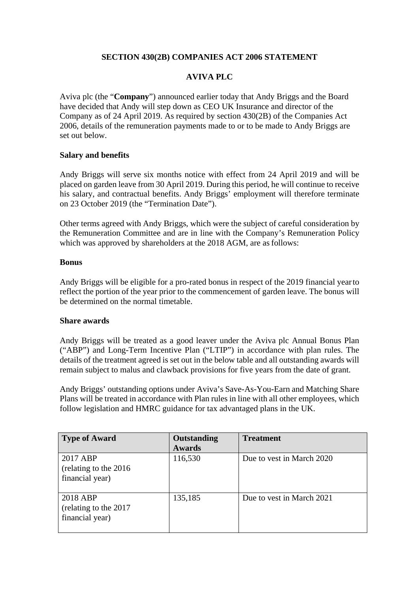## **SECTION 430(2B) COMPANIES ACT 2006 STATEMENT**

# **AVIVA PLC**

Aviva plc (the "**Company**") announced earlier today that Andy Briggs and the Board have decided that Andy will step down as CEO UK Insurance and director of the Company as of 24 April 2019. As required by section 430(2B) of the Companies Act 2006, details of the remuneration payments made to or to be made to Andy Briggs are set out below.

### **Salary and benefits**

Andy Briggs will serve six months notice with effect from 24 April 2019 and will be placed on garden leave from 30 April 2019. During this period, he will continue to receive his salary, and contractual benefits. Andy Briggs' employment will therefore terminate on 23 October 2019 (the "Termination Date").

Other terms agreed with Andy Briggs, which were the subject of careful consideration by the Remuneration Committee and are in line with the Company's Remuneration Policy which was approved by shareholders at the 2018 AGM, are as follows:

#### **Bonus**

Andy Briggs will be eligible for a pro-rated bonus in respect of the 2019 financial yearto reflect the portion of the year prior to the commencement of garden leave. The bonus will be determined on the normal timetable.

#### **Share awards**

Andy Briggs will be treated as a good leaver under the Aviva plc Annual Bonus Plan ("ABP") and Long-Term Incentive Plan ("LTIP") in accordance with plan rules. The details of the treatment agreed is set out in the below table and all outstanding awards will remain subject to malus and clawback provisions for five years from the date of grant.

Andy Briggs' outstanding options under Aviva's Save-As-You-Earn and Matching Share Plans will be treated in accordance with Plan rules in line with all other employees, which follow legislation and HMRC guidance for tax advantaged plans in the UK.

| <b>Type of Award</b>                                  | Outstanding   | <b>Treatment</b>          |
|-------------------------------------------------------|---------------|---------------------------|
|                                                       | <b>Awards</b> |                           |
| 2017 ABP<br>(relating to the 2016)<br>financial year) | 116,530       | Due to vest in March 2020 |
| 2018 ABP<br>(relating to the 2017)<br>financial year) | 135,185       | Due to vest in March 2021 |